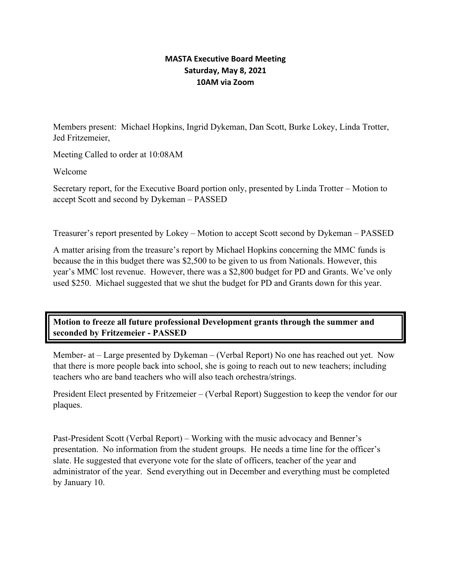### **MASTA Executive Board Meeting Saturday, May 8, 2021 10AM via Zoom**

Members present: Michael Hopkins, Ingrid Dykeman, Dan Scott, Burke Lokey, Linda Trotter, Jed Fritzemeier,

Meeting Called to order at 10:08AM

Welcome

Secretary report, for the Executive Board portion only, presented by Linda Trotter – Motion to accept Scott and second by Dykeman – PASSED

Treasurer's report presented by Lokey – Motion to accept Scott second by Dykeman – PASSED

A matter arising from the treasure's report by Michael Hopkins concerning the MMC funds is because the in this budget there was \$2,500 to be given to us from Nationals. However, this year's MMC lost revenue. However, there was a \$2,800 budget for PD and Grants. We've only used \$250. Michael suggested that we shut the budget for PD and Grants down for this year.

# **Motion to freeze all future professional Development grants through the summer and seconded by Fritzemeier - PASSED**

Member- at – Large presented by Dykeman – (Verbal Report) No one has reached out yet. Now that there is more people back into school, she is going to reach out to new teachers; including teachers who are band teachers who will also teach orchestra/strings.

President Elect presented by Fritzemeier – (Verbal Report) Suggestion to keep the vendor for our plaques.

Past-President Scott (Verbal Report) – Working with the music advocacy and Benner's presentation. No information from the student groups. He needs a time line for the officer's slate. He suggested that everyone vote for the slate of officers, teacher of the year and administrator of the year. Send everything out in December and everything must be completed by January 10.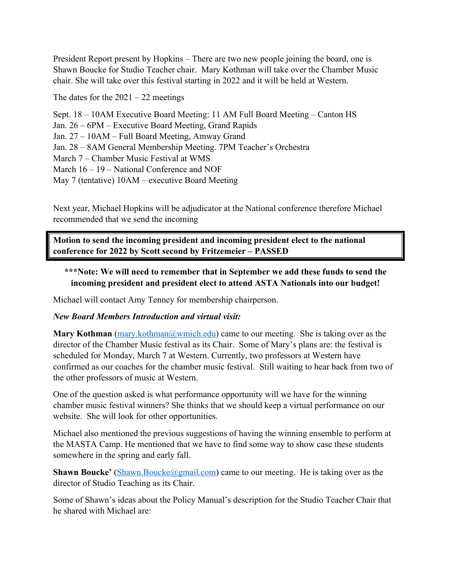President Report present by Hopkins – There are two new people joining the board, one is Shawn Boucke for Studio Teacher chair. Mary Kothman will take over the Chamber Music chair. She will take over this festival starting in 2022 and it will be held at Western.

The dates for the  $2021 - 22$  meetings

Sept. 18 – 10AM Executive Board Meeting: 11 AM Full Board Meeting – Canton HS Jan. 26 – 6PM – Executive Board Meeting, Grand Rapids Jan. 27 – 10AM – Full Board Meeting, Amway Grand Jan. 28 – 8AM General Membership Meeting. 7PM Teacher's Orchestra March 7 – Chamber Music Festival at WMS March 16 – 19 – National Conference and NOF May 7 (tentative) 10AM – executive Board Meeting

Next year, Michael Hopkins will be adjudicator at the National conference therefore Michael recommended that we send the incoming

**Motion to send the incoming president and incoming president elect to the national conference for 2022 by Scott second by Fritzemeier – PASSED**

# **\*\*\*Note: We will need to remember that in September we add these funds to send the incoming president and president elect to attend ASTA Nationals into our budget!**

Michael will contact Amy Tenney for membership chairperson.

#### *New Board Members Introduction and virtual visit:*

**Mary Kothman** (mary.kothman@wmich.edu) came to our meeting. She is taking over as the director of the Chamber Music festival as its Chair. Some of Mary's plans are: the festival is scheduled for Monday, March 7 at Western. Currently, two professors at Western have confirmed as our coaches for the chamber music festival. Still waiting to hear back from two of the other professors of music at Western.

One of the question asked is what performance opportunity will we have for the winning chamber music festival winners? She thinks that we should keep a virtual performance on our website. She will look for other opportunities.

Michael also mentioned the previous suggestions of having the winning ensemble to perform at the MASTA Camp. He mentioned that we have to find some way to show case these students somewhere in the spring and early fall.

**Shawn Boucke'** (Shawn.Boucke@gmail.com) came to our meeting. He is taking over as the director of Studio Teaching as its Chair.

Some of Shawn's ideas about the Policy Manual's description for the Studio Teacher Chair that he shared with Michael are: